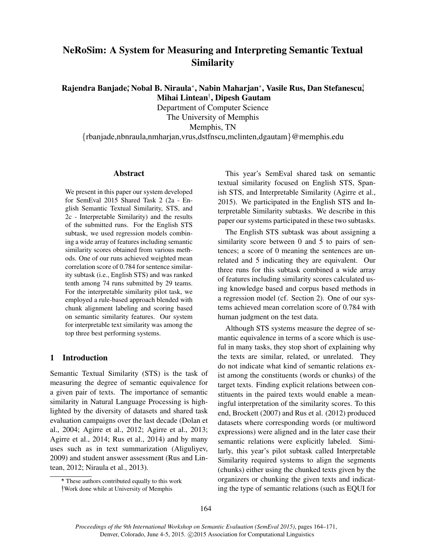# NeRoSim: A System for Measuring and Interpreting Semantic Textual Similarity

Rajendra Banjade;\*Nobal B. Niraula\*, Nabin Maharjan\*, Vasile Rus, Dan Stefanescu;̇! Mihai Lintean† , Dipesh Gautam

Department of Computer Science The University of Memphis

Memphis, TN

{rbanjade,nbnraula,nmharjan,vrus,dstfnscu,mclinten,dgautam}@memphis.edu

### Abstract

We present in this paper our system developed for SemEval 2015 Shared Task 2 (2a - English Semantic Textual Similarity, STS, and 2c - Interpretable Similarity) and the results of the submitted runs. For the English STS subtask, we used regression models combining a wide array of features including semantic similarity scores obtained from various methods. One of our runs achieved weighted mean correlation score of 0.784 for sentence similarity subtask (i.e., English STS) and was ranked tenth among 74 runs submitted by 29 teams. For the interpretable similarity pilot task, we employed a rule-based approach blended with chunk alignment labeling and scoring based on semantic similarity features. Our system for interpretable text similarity was among the top three best performing systems.

## 1 Introduction

Semantic Textual Similarity (STS) is the task of measuring the degree of semantic equivalence for a given pair of texts. The importance of semantic similarity in Natural Language Processing is highlighted by the diversity of datasets and shared task evaluation campaigns over the last decade (Dolan et al., 2004; Agirre et al., 2012; Agirre et al., 2013; Agirre et al., 2014; Rus et al., 2014) and by many uses such as in text summarization (Aliguliyev, 2009) and student answer assessment (Rus and Lintean, 2012; Niraula et al., 2013).

† †Work done while at University of Memphis

This year's SemEval shared task on semantic textual similarity focused on English STS, Spanish STS, and Interpretable Similarity (Agirre et al., 2015). We participated in the English STS and Interpretable Similarity subtasks. We describe in this paper our systems participated in these two subtasks.

The English STS subtask was about assigning a similarity score between 0 and 5 to pairs of sentences; a score of 0 meaning the sentences are unrelated and 5 indicating they are equivalent. Our three runs for this subtask combined a wide array of features including similarity scores calculated using knowledge based and corpus based methods in a regression model (cf. Section 2). One of our systems achieved mean correlation score of 0.784 with human judgment on the test data.

Although STS systems measure the degree of semantic equivalence in terms of a score which is useful in many tasks, they stop short of explaining why the texts are similar, related, or unrelated. They do not indicate what kind of semantic relations exist among the constituents (words or chunks) of the target texts. Finding explicit relations between constituents in the paired texts would enable a meaningful interpretation of the similarity scores. To this end, Brockett (2007) and Rus et al. (2012) produced datasets where corresponding words (or multiword expressions) were aligned and in the later case their semantic relations were explicitly labeled. Similarly, this year's pilot subtask called Interpretable Similarity required systems to align the segments (chunks) either using the chunked texts given by the organizers or chunking the given texts and indicating the type of semantic relations (such as EQUI for

<sup>∗</sup> \* These authors contributed equally to this work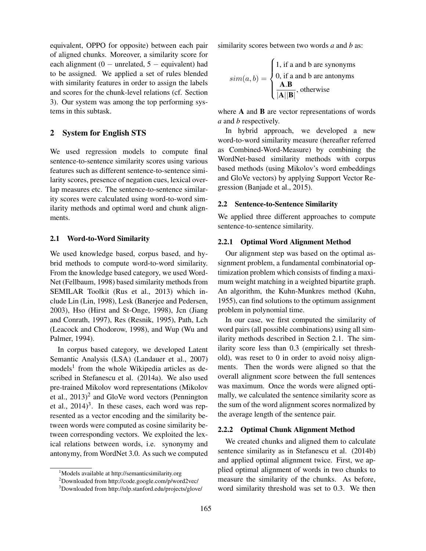equivalent, OPPO for opposite) between each pair of aligned chunks. Moreover, a similarity score for each alignment (0  $-$  unrelated, 5  $-$  equivalent) had to be assigned. We applied a set of rules blended with similarity features in order to assign the labels and scores for the chunk-level relations (cf. Section 3). Our system was among the top performing systems in this subtask.

### 2 System for English STS

We used regression models to compute final sentence-to-sentence similarity scores using various features such as different sentence-to-sentence similarity scores, presence of negation cues, lexical overlap measures etc. The sentence-to-sentence similarity scores were calculated using word-to-word similarity methods and optimal word and chunk alignments.

#### 2.1 Word-to-Word Similarity

We used knowledge based, corpus based, and hybrid methods to compute word-to-word similarity. From the knowledge based category, we used Word-Net (Fellbaum, 1998) based similarity methods from SEMILAR Toolkit (Rus et al., 2013) which include Lin (Lin, 1998), Lesk (Banerjee and Pedersen, 2003), Hso (Hirst and St-Onge, 1998), Jcn (Jiang and Conrath, 1997), Res (Resnik, 1995), Path, Lch (Leacock and Chodorow, 1998), and Wup (Wu and Palmer, 1994).

In corpus based category, we developed Latent Semantic Analysis (LSA) (Landauer et al., 2007) models<sup>1</sup> from the whole Wikipedia articles as described in Stefanescu et al. (2014a). We also used pre-trained Mikolov word representations (Mikolov et al.,  $2013)^2$  and GloVe word vectors (Pennington et al.,  $2014$ <sup>3</sup>. In these cases, each word was represented as a vector encoding and the similarity between words were computed as cosine similarity between corresponding vectors. We exploited the lexical relations between words, i.e. synonymy and antonymy, from WordNet 3.0. As such we computed

similarity scores between two words *a* and *b* as:

$$
sim(a, b) = \begin{cases} 1, \text{ if a and b are synonyms} \\ 0, \text{ if a and b are atoms} \\ \frac{\mathbf{A}.\mathbf{B}}{|\mathbf{A}||\mathbf{B}|}, \text{ otherwise} \end{cases}
$$

where A and B are vector representations of words *a* and *b* respectively.

In hybrid approach, we developed a new word-to-word similarity measure (hereafter referred as Combined-Word-Measure) by combining the WordNet-based similarity methods with corpus based methods (using Mikolov's word embeddings and GloVe vectors) by applying Support Vector Regression (Banjade et al., 2015).

#### 2.2 Sentence-to-Sentence Similarity

We applied three different approaches to compute sentence-to-sentence similarity.

#### 2.2.1 Optimal Word Alignment Method

Our alignment step was based on the optimal assignment problem, a fundamental combinatorial optimization problem which consists of finding a maximum weight matching in a weighted bipartite graph. An algorithm, the Kuhn-Munkres method (Kuhn, 1955), can find solutions to the optimum assignment problem in polynomial time.

In our case, we first computed the similarity of word pairs (all possible combinations) using all similarity methods described in Section 2.1. The similarity score less than 0.3 (empirically set threshold), was reset to 0 in order to avoid noisy alignments. Then the words were aligned so that the overall alignment score between the full sentences was maximum. Once the words were aligned optimally, we calculated the sentence similarity score as the sum of the word alignment scores normalized by the average length of the sentence pair.

#### 2.2.2 Optimal Chunk Alignment Method

We created chunks and aligned them to calculate sentence similarity as in Stefanescu et al. (2014b) and applied optimal alignment twice. First, we applied optimal alignment of words in two chunks to measure the similarity of the chunks. As before, word similarity threshold was set to 0.3. We then

<sup>&</sup>lt;sup>1</sup>Models available at http://semanticsimilarity.org

<sup>2</sup>Downloaded from http://code.google.com/p/word2vec/

<sup>3</sup>Downloaded from http://nlp.stanford.edu/projects/glove/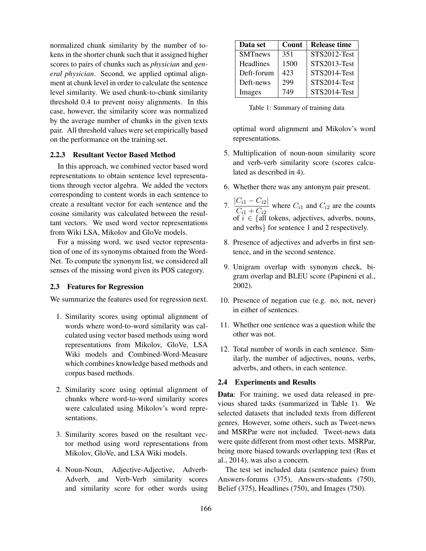normalized chunk similarity by the number of tokens in the shorter chunk such that it assigned higher scores to pairs of chunks such as *physician* and *general physician*. Second, we applied optimal alignment at chunk level in order to calculate the sentence level similarity. We used chunk-to-chunk similarity threshold 0.4 to prevent noisy alignments. In this case, however, the similarity score was normalized by the average number of chunks in the given texts pair. All threshold values were set empirically based on the performance on the training set.

## 2.2.3 Resultant Vector Based Method

In this approach, we combined vector based word representations to obtain sentence level representations through vector algebra. We added the vectors corresponding to content words in each sentence to create a resultant vector for each sentence and the cosine similarity was calculated between the resultant vectors. We used word vector representations from Wiki LSA, Mikolov and GloVe models.

For a missing word, we used vector representation of one of its synonyms obtained from the Word-Net. To compute the synonym list, we considered all senses of the missing word given its POS category.

## 2.3 Features for Regression

We summarize the features used for regression next.

- 1. Similarity scores using optimal alignment of words where word-to-word similarity was calculated using vector based methods using word representations from Mikolov, GloVe, LSA Wiki models and Combined-Word-Measure which combines knowledge based methods and corpus based methods.
- 2. Similarity score using optimal alignment of chunks where word-to-word similarity scores were calculated using Mikolov's word representations.
- 3. Similarity scores based on the resultant vector method using word representations from Mikolov, GloVe, and LSA Wiki models.
- 4. Noun-Noun, Adjective-Adjective, Adverb-Adverb, and Verb-Verb similarity scores and similarity score for other words using

| Data set         | Count | <b>Release time</b> |
|------------------|-------|---------------------|
| <b>SMTnews</b>   | 351   | STS2012-Test        |
| <b>Headlines</b> | 1500  | STS2013-Test        |
| Deft-forum       | 423   | STS2014-Test        |
| Deft-news        | 299   | STS2014-Test        |
| Images           | 749   | STS2014-Test        |

Table 1: Summary of training data

optimal word alignment and Mikolov's word representations.

- 5. Multiplication of noun-noun similarity score and verb-verb similarity score (scores calculated as described in 4).
- 6. Whether there was any antonym pair present.
- 7.  $\frac{|C_{i1} C_{i2}|}{C_{i1} C_{i2}|}$  $\frac{C_{i1}C_{i2}}{C_{i1} + C_{i2}}$  where  $C_{i1}$  and  $C_{i2}$  are the counts of  $i \in \{all$  tokens, adjectives, adverbs, nouns, and verbs} for sentence 1 and 2 respectively.
- 8. Presence of adjectives and adverbs in first sentence, and in the second sentence.
- 9. Unigram overlap with synonym check, bigram overlap and BLEU score (Papineni et al., 2002).
- 10. Presence of negation cue (e.g. no, not, never) in either of sentences.
- 11. Whether one sentence was a question while the other was not.
- 12. Total number of words in each sentence. Similarly, the number of adjectives, nouns, verbs, adverbs, and others, in each sentence.

## 2.4 Experiments and Results

Data: For training, we used data released in previous shared tasks (summarized in Table 1). We selected datasets that included texts from different genres. However, some others, such as Tweet-news and MSRPar were not included. Tweet-news data were quite different from most other texts. MSRPar, being more biased towards overlapping text (Rus et al., 2014), was also a concern.

The test set included data (sentence pairs) from Answers-forums (375), Answers-students (750), Belief (375), Headlines (750), and Images (750).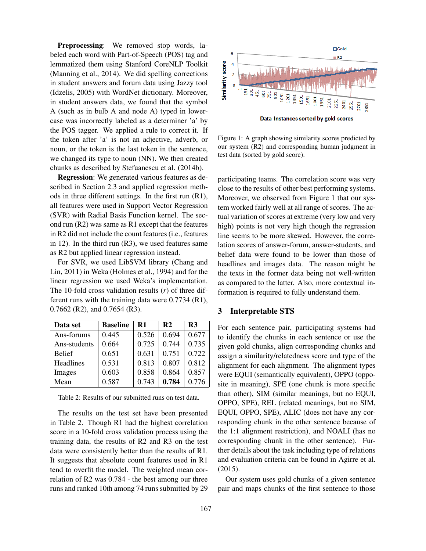Preprocessing: We removed stop words, labeled each word with Part-of-Speech (POS) tag and lemmatized them using Stanford CoreNLP Toolkit (Manning et al., 2014). We did spelling corrections in student answers and forum data using Jazzy tool (Idzelis, 2005) with WordNet dictionary. Moreover, in student answers data, we found that the symbol A (such as in bulb A and node A) typed in lowercase was incorrectly labeled as a determiner 'a' by the POS tagger. We applied a rule to correct it. If the token after 'a' is not an adjective, adverb, or noun, or the token is the last token in the sentence, we changed its type to noun (NN). We then created chunks as described by Stefuanescu et al. (2014b).

Regression: We generated various features as described in Section 2.3 and applied regression methods in three different settings. In the first run (R1), all features were used in Support Vector Regression (SVR) with Radial Basis Function kernel. The second run (R2) was same as R1 except that the features in R2 did not include the count features (i.e., features in 12). In the third run (R3), we used features same as R2 but applied linear regression instead.

For SVR, we used LibSVM library (Chang and Lin, 2011) in Weka (Holmes et al., 1994) and for the linear regression we used Weka's implementation. The 10-fold cross validation results (*r*) of three different runs with the training data were 0.7734 (R1), 0.7662 (R2), and 0.7654 (R3).

| Data set      | <b>Baseline</b> | $\mathbf{R}1$ | $\mathbf{R}2$ | R <sub>3</sub> |
|---------------|-----------------|---------------|---------------|----------------|
| Ans-forums    | 0.445           | 0.526         | 0.694         | 0.677          |
| Ans-students  | 0.664           | 0.725         | 0.744         | 0.735          |
| <b>Belief</b> | 0.651           | 0.631         | 0.751         | 0.722          |
| Headlines     | 0.531           | 0.813         | 0.807         | 0.812          |
| Images        | 0.603           | 0.858         | 0.864         | 0.857          |
| Mean          | 0.587           | 0.743         | 0.784         | 0.776          |

Table 2: Results of our submitted runs on test data.

The results on the test set have been presented in Table 2. Though R1 had the highest correlation score in a 10-fold cross validation process using the training data, the results of R2 and R3 on the test data were consistently better than the results of R1. It suggests that absolute count features used in R1 tend to overfit the model. The weighted mean correlation of R2 was 0.784 - the best among our three runs and ranked 10th among 74 runs submitted by 29



Figure 1: A graph showing similarity scores predicted by our system (R2) and corresponding human judgment in test data (sorted by gold score).

participating teams. The correlation score was very close to the results of other best performing systems. Moreover, we observed from Figure 1 that our system worked fairly well at all range of scores. The actual variation of scores at extreme (very low and very high) points is not very high though the regression line seems to be more skewed. However, the correlation scores of answer-forum, answer-students, and belief data were found to be lower than those of headlines and images data. The reason might be the texts in the former data being not well-written as compared to the latter. Also, more contextual information is required to fully understand them.

#### 3 Interpretable STS

For each sentence pair, participating systems had to identify the chunks in each sentence or use the given gold chunks, align corresponding chunks and assign a similarity/relatedness score and type of the alignment for each alignment. The alignment types were EQUI (semantically equivalent), OPPO (opposite in meaning), SPE (one chunk is more specific than other), SIM (similar meanings, but no EQUI, OPPO, SPE), REL (related meanings, but no SIM, EQUI, OPPO, SPE), ALIC (does not have any corresponding chunk in the other sentence because of the 1:1 alignment restriction), and NOALI (has no corresponding chunk in the other sentence). Further details about the task including type of relations and evaluation criteria can be found in Agirre et al. (2015).

Our system uses gold chunks of a given sentence pair and maps chunks of the first sentence to those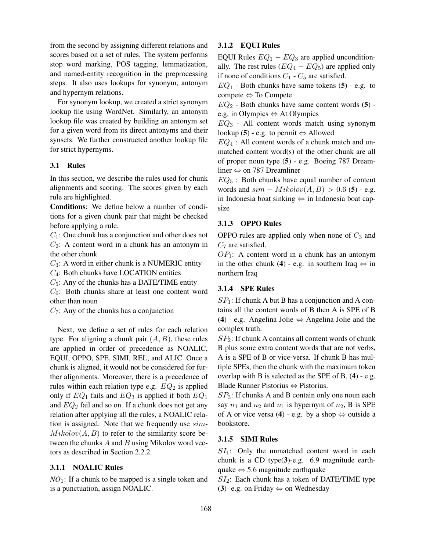from the second by assigning different relations and scores based on a set of rules. The system performs stop word marking, POS tagging, lemmatization, and named-entity recognition in the preprocessing steps. It also uses lookups for synonym, antonym and hypernym relations.

For synonym lookup, we created a strict synonym lookup file using WordNet. Similarly, an antonym lookup file was created by building an antonym set for a given word from its direct antonyms and their synsets. We further constructed another lookup file for strict hypernyms.

## 3.1 Rules

In this section, we describe the rules used for chunk alignments and scoring. The scores given by each rule are highlighted.

Conditions: We define below a number of conditions for a given chunk pair that might be checked before applying a rule.

 $C_1$ : One chunk has a conjunction and other does not  $C_2$ : A content word in a chunk has an antonym in the other chunk

 $C_3$ : A word in either chunk is a NUMERIC entity

 $C_4$ : Both chunks have LOCATION entities

 $C_5$ : Any of the chunks has a DATE/TIME entity

 $C_6$ : Both chunks share at least one content word other than noun

 $C_7$ : Any of the chunks has a conjunction

Next, we define a set of rules for each relation type. For aligning a chunk pair  $(A, B)$ , these rules are applied in order of precedence as NOALIC, EQUI, OPPO, SPE, SIMI, REL, and ALIC. Once a chunk is aligned, it would not be considered for further alignments. Moreover, there is a precedence of rules within each relation type e.g.  $EQ_2$  is applied only if  $EQ_1$  fails and  $EQ_3$  is applied if both  $EQ_1$ and  $EQ<sub>2</sub>$  fail and so on. If a chunk does not get any relation after applying all the rules, a NOALIC relation is assigned. Note that we frequently use  $sim$ - $Mikolov(A, B)$  to refer to the similarity score between the chunks  $A$  and  $B$  using Mikolov word vectors as described in Section 2.2.2.

## 3.1.1 NOALIC Rules

*NO*1: If a chunk to be mapped is a single token and is a punctuation, assign NOALIC.

## 3.1.2 EQUI Rules

EQUI Rules  $EQ_1 - EQ_3$  are applied unconditionally. The rest rules  $(EQ_4 - EQ_5)$  are applied only if none of conditions  $C_1$  -  $C_5$  are satisfied.

 $EQ<sub>1</sub>$  - Both chunks have same tokens (5) - e.g. to compete ⇔ To Compete

 $EQ<sub>2</sub>$  - Both chunks have same content words (5) e.g. in Olympics ⇔ At Olympics

 $EQ<sub>3</sub>$  - All content words match using synonym lookup (5) - e.g. to permit  $\Leftrightarrow$  Allowed

 $EQ_4$ : All content words of a chunk match and unmatched content word(s) of the other chunk are all of proper noun type (5) - e.g. Boeing 787 Dreamliner ⇔ on 787 Dreamliner

 $EQ_5$ : Both chunks have equal number of content words and  $sim - Mikolov(A, B) > 0.6$  (5) - e.g. in Indonesia boat sinking ⇔ in Indonesia boat capsize

## 3.1.3 OPPO Rules

OPPO rules are applied only when none of  $C_3$  and  $C_7$  are satisfied.

 $OP_1$ : A content word in a chunk has an antonym in the other chunk (4) - e.g. in southern Iraq  $\Leftrightarrow$  in northern Iraq

## 3.1.4 SPE Rules

 $SP<sub>1</sub>$ : If chunk A but B has a conjunction and A contains all the content words of B then A is SPE of B (4) - e.g. Angelina Jolie ⇔ Angelina Jolie and the complex truth.

 $SP<sub>2</sub>$ : If chunk A contains all content words of chunk B plus some extra content words that are not verbs, A is a SPE of B or vice-versa. If chunk B has multiple SPEs, then the chunk with the maximum token overlap with B is selected as the SPE of B. (4) - e.g. Blade Runner Pistorius ⇔ Pistorius.

 $SP<sub>3</sub>$ : If chunks A and B contain only one noun each say  $n_1$  and  $n_2$  and  $n_1$  is hypernym of  $n_2$ , B is SPE of A or vice versa (4) - e.g. by a shop  $\Leftrightarrow$  outside a bookstore.

#### 3.1.5 SIMI Rules

 $SI<sub>1</sub>$ : Only the unmatched content word in each chunk is a CD type(3)-e.g. 6.9 magnitude earthquake  $\Leftrightarrow$  5.6 magnitude earthquake

 $SI_2$ : Each chunk has a token of DATE/TIME type (3)- e.g. on Friday  $\Leftrightarrow$  on Wednesday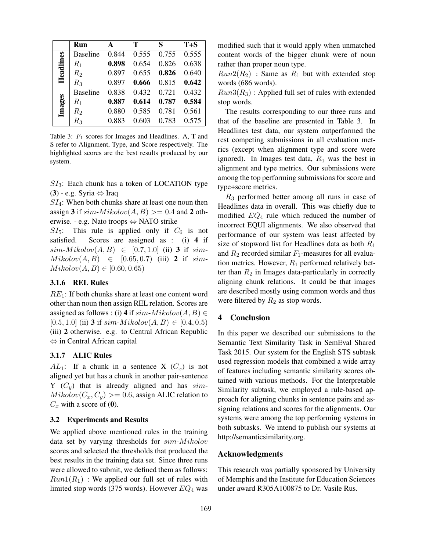|           | Run             | A     | T     | S     | $T + S$ |
|-----------|-----------------|-------|-------|-------|---------|
| Headlines | <b>Baseline</b> | 0.844 | 0.555 | 0.755 | 0.555   |
|           | $R_1$           | 0.898 | 0.654 | 0.826 | 0.638   |
|           | R <sub>2</sub>  | 0.897 | 0.655 | 0.826 | 0.640   |
|           | $R_3$           | 0.897 | 0.666 | 0.815 | 0.642   |
| Images    | <b>Baseline</b> | 0.838 | 0.432 | 0.721 | 0.432   |
|           | $R_1$           | 0.887 | 0.614 | 0.787 | 0.584   |
|           | R <sub>2</sub>  | 0.880 | 0.585 | 0.781 | 0.561   |
|           | R3              | 0.883 | 0.603 | 0.783 | 0.575   |

Table 3:  $F_1$  scores for Images and Headlines. A, T and S refer to Alignment, Type, and Score respectively. The highlighted scores are the best results produced by our system.

 $SI_3$ : Each chunk has a token of LOCATION type (3) - e.g. Syria ⇔ Iraq

 $SI<sub>4</sub>$ : When both chunks share at least one noun then assign 3 if  $sim-Mikolov(A, B) >= 0.4$  and 2 otherwise. - e.g. Nato troops ⇔ NATO strike

 $SI_5$ : This rule is applied only if  $C_6$  is not satisfied. Scores are assigned as : (i) 4 if  $sim-Mikolov(A, B) \in [0.7, 1.0]$  (ii) 3 if sim- $Mikolov(A, B) \in [0.65, 0.7)$  (iii) 2 if sim- $Mikolov(A, B) \in [0.60, 0.65)$ 

## 3.1.6 REL Rules

 $RE<sub>1</sub>$ : If both chunks share at least one content word other than noun then assign REL relation. Scores are assigned as follows : (i) 4 if  $sim-Mikolov(A, B) \in$  $[0.5, 1.0]$  (ii) 3 if  $sim-Mikolov(A, B) \in [0.4, 0.5]$ (iii) 2 otherwise. e.g. to Central African Republic ⇔ in Central African capital

#### 3.1.7 ALIC Rules

 $AL_1$ : If a chunk in a sentence X  $(C_x)$  is not aligned yet but has a chunk in another pair-sentence Y  $(C_y)$  that is already aligned and has sim- $Mikolov(C_x, C_y) >= 0.6$ , assign ALIC relation to  $C_x$  with a score of (0).

#### 3.2 Experiments and Results

We applied above mentioned rules in the training data set by varying thresholds for  $sim-Mikolov$ scores and selected the thresholds that produced the best results in the training data set. Since three runs were allowed to submit, we defined them as follows:  $Run1(R_1)$ : We applied our full set of rules with limited stop words (375 words). However  $EQ_4$  was modified such that it would apply when unmatched content words of the bigger chunk were of noun rather than proper noun type.

 $Run2(R_2)$ : Same as  $R_1$  but with extended stop words (686 words).

 $Run3(R_3)$ : Applied full set of rules with extended stop words.

The results corresponding to our three runs and that of the baseline are presented in Table 3. In Headlines test data, our system outperformed the rest competing submissions in all evaluation metrics (except when alignment type and score were ignored). In Images test data,  $R_1$  was the best in alignment and type metrics. Our submissions were among the top performing submissions for score and type+score metrics.

 $R_3$  performed better among all runs in case of Headlines data in overall. This was chiefly due to modified  $EQ_4$  rule which reduced the number of incorrect EQUI alignments. We also observed that performance of our system was least affected by size of stopword list for Headlines data as both  $R_1$ and  $R_2$  recorded similar  $F_1$ -measures for all evaluation metrics. However,  $R_1$  performed relatively better than  $R_2$  in Images data-particularly in correctly aligning chunk relations. It could be that images are described mostly using common words and thus were filtered by  $R_2$  as stop words.

## 4 Conclusion

In this paper we described our submissions to the Semantic Text Similarity Task in SemEval Shared Task 2015. Our system for the English STS subtask used regression models that combined a wide array of features including semantic similarity scores obtained with various methods. For the Interpretable Similarity subtask, we employed a rule-based approach for aligning chunks in sentence pairs and assigning relations and scores for the alignments. Our systems were among the top performing systems in both subtasks. We intend to publish our systems at http://semanticsimilarity.org.

#### Acknowledgments

This research was partially sponsored by University of Memphis and the Institute for Education Sciences under award R305A100875 to Dr. Vasile Rus.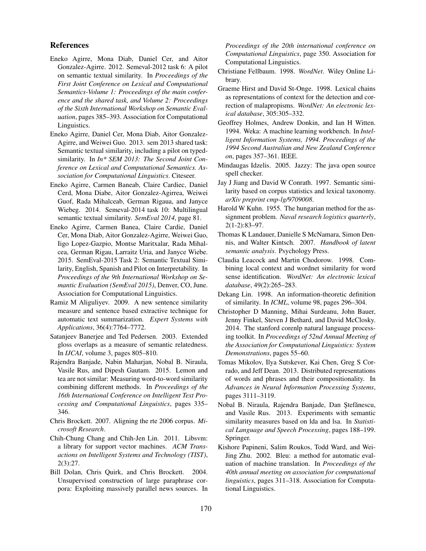### References

- Eneko Agirre, Mona Diab, Daniel Cer, and Aitor Gonzalez-Agirre. 2012. Semeval-2012 task 6: A pilot on semantic textual similarity. In *Proceedings of the First Joint Conference on Lexical and Computational Semantics-Volume 1: Proceedings of the main conference and the shared task, and Volume 2: Proceedings of the Sixth International Workshop on Semantic Evaluation*, pages 385–393. Association for Computational Linguistics.
- Eneko Agirre, Daniel Cer, Mona Diab, Aitor Gonzalez-Agirre, and Weiwei Guo. 2013. sem 2013 shared task: Semantic textual similarity, including a pilot on typedsimilarity. In *In\* SEM 2013: The Second Joint Conference on Lexical and Computational Semantics. Association for Computational Linguistics*. Citeseer.
- Eneko Agirre, Carmen Baneab, Claire Cardiec, Daniel Cerd, Mona Diabe, Aitor Gonzalez-Agirrea, Weiwei Guof, Rada Mihalceab, German Rigaua, and Janyce Wiebeg. 2014. Semeval-2014 task 10: Multilingual semantic textual similarity. *SemEval 2014*, page 81.
- Eneko Agirre, Carmen Banea, Claire Cardie, Daniel Cer, Mona Diab, Aitor Gonzalez-Agirre, Weiwei Guo, Iigo Lopez-Gazpio, Montse Maritxalar, Rada Mihalcea, German Rigau, Larraitz Uria, and Janyce Wiebe. 2015. SemEval-2015 Task 2: Semantic Textual Similarity, English, Spanish and Pilot on Interpretability. In *Proceedings of the 9th International Workshop on Semantic Evaluation (SemEval 2015)*, Denver, CO, June. Association for Computational Linguistics.
- Ramiz M Aliguliyev. 2009. A new sentence similarity measure and sentence based extractive technique for automatic text summarization. *Expert Systems with Applications*, 36(4):7764–7772.
- Satanjeev Banerjee and Ted Pedersen. 2003. Extended gloss overlaps as a measure of semantic relatedness. In *IJCAI*, volume 3, pages 805–810.
- Rajendra Banjade, Nabin Maharjan, Nobal B. Niraula, Vasile Rus, and Dipesh Gautam. 2015. Lemon and tea are not similar: Measuring word-to-word similarity combining different methods. In *Proceedings of the 16th International Conference on Intelligent Text Processing and Computational Linguistics*, pages 335– 346.
- Chris Brockett. 2007. Aligning the rte 2006 corpus. *Microsoft Research*.
- Chih-Chung Chang and Chih-Jen Lin. 2011. Libsvm: a library for support vector machines. *ACM Transactions on Intelligent Systems and Technology (TIST)*, 2(3):27.
- Bill Dolan, Chris Quirk, and Chris Brockett. 2004. Unsupervised construction of large paraphrase corpora: Exploiting massively parallel news sources. In

*Proceedings of the 20th international conference on Computational Linguistics*, page 350. Association for Computational Linguistics.

- Christiane Fellbaum. 1998. *WordNet*. Wiley Online Library.
- Graeme Hirst and David St-Onge. 1998. Lexical chains as representations of context for the detection and correction of malapropisms. *WordNet: An electronic lexical database*, 305:305–332.
- Geoffrey Holmes, Andrew Donkin, and Ian H Witten. 1994. Weka: A machine learning workbench. In *Intelligent Information Systems, 1994. Proceedings of the 1994 Second Australian and New Zealand Conference on*, pages 357–361. IEEE.
- Mindaugas Idzelis. 2005. Jazzy: The java open source spell checker.
- Jay J Jiang and David W Conrath. 1997. Semantic similarity based on corpus statistics and lexical taxonomy. *arXiv preprint cmp-lg/9709008*.
- Harold W Kuhn. 1955. The hungarian method for the assignment problem. *Naval research logistics quarterly*, 2(1-2):83–97.
- Thomas K Landauer, Danielle S McNamara, Simon Dennis, and Walter Kintsch. 2007. *Handbook of latent semantic analysis*. Psychology Press.
- Claudia Leacock and Martin Chodorow. 1998. Combining local context and wordnet similarity for word sense identification. *WordNet: An electronic lexical database*, 49(2):265–283.
- Dekang Lin. 1998. An information-theoretic definition of similarity. In *ICML*, volume 98, pages 296–304.
- Christopher D Manning, Mihai Surdeanu, John Bauer, Jenny Finkel, Steven J Bethard, and David McClosky. 2014. The stanford corenlp natural language processing toolkit. In *Proceedings of 52nd Annual Meeting of the Association for Computational Linguistics: System Demonstrations*, pages 55–60.
- Tomas Mikolov, Ilya Sutskever, Kai Chen, Greg S Corrado, and Jeff Dean. 2013. Distributed representations of words and phrases and their compositionality. In *Advances in Neural Information Processing Systems*, pages 3111–3119.
- Nobal B. Niraula, Rajendra Banjade, Dan Ştefănescu, and Vasile Rus. 2013. Experiments with semantic similarity measures based on lda and lsa. In *Statistical Language and Speech Processing*, pages 188–199. Springer.
- Kishore Papineni, Salim Roukos, Todd Ward, and Wei-Jing Zhu. 2002. Bleu: a method for automatic evaluation of machine translation. In *Proceedings of the 40th annual meeting on association for computational linguistics*, pages 311–318. Association for Computational Linguistics.